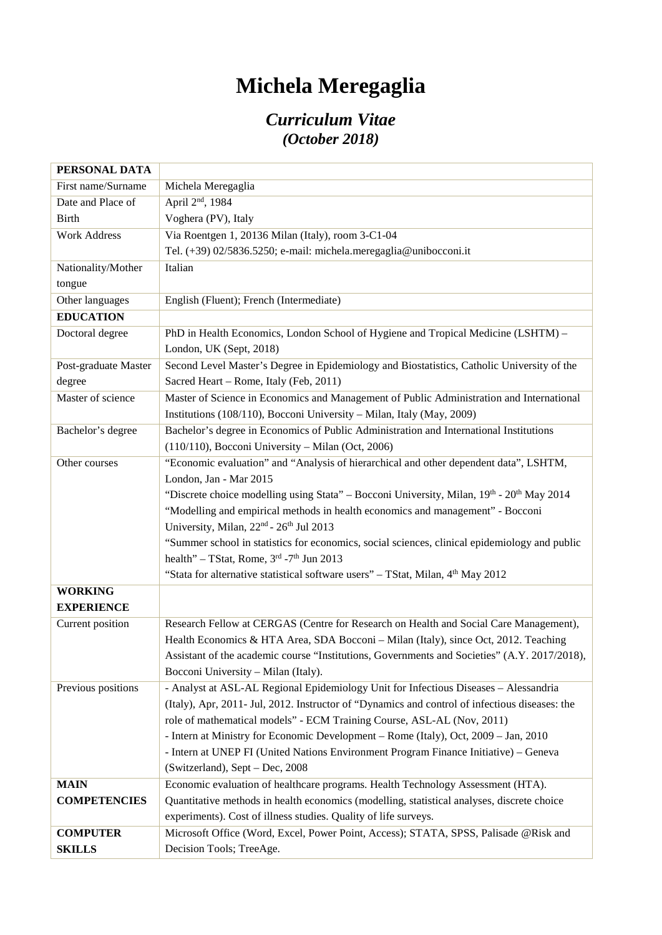## **Michela Meregaglia**

## *Curriculum Vitae (October 2018)*

| PERSONAL DATA        |                                                                                                |
|----------------------|------------------------------------------------------------------------------------------------|
| First name/Surname   | Michela Meregaglia                                                                             |
| Date and Place of    | April 2 <sup>nd</sup> , 1984                                                                   |
| <b>Birth</b>         | Voghera (PV), Italy                                                                            |
| <b>Work Address</b>  | Via Roentgen 1, 20136 Milan (Italy), room 3-C1-04                                              |
|                      | Tel. (+39) 02/5836.5250; e-mail: michela.meregaglia@unibocconi.it                              |
| Nationality/Mother   | Italian                                                                                        |
| tongue               |                                                                                                |
| Other languages      | English (Fluent); French (Intermediate)                                                        |
| <b>EDUCATION</b>     |                                                                                                |
| Doctoral degree      | PhD in Health Economics, London School of Hygiene and Tropical Medicine (LSHTM) -              |
|                      | London, UK (Sept, 2018)                                                                        |
| Post-graduate Master | Second Level Master's Degree in Epidemiology and Biostatistics, Catholic University of the     |
| degree               | Sacred Heart - Rome, Italy (Feb, 2011)                                                         |
| Master of science    | Master of Science in Economics and Management of Public Administration and International       |
|                      | Institutions (108/110), Bocconi University - Milan, Italy (May, 2009)                          |
| Bachelor's degree    | Bachelor's degree in Economics of Public Administration and International Institutions         |
|                      | (110/110), Bocconi University - Milan (Oct, 2006)                                              |
| Other courses        | "Economic evaluation" and "Analysis of hierarchical and other dependent data", LSHTM,          |
|                      | London, Jan - Mar 2015                                                                         |
|                      | "Discrete choice modelling using Stata" – Bocconi University, Milan, 19th - 20th May 2014      |
|                      | "Modelling and empirical methods in health economics and management" - Bocconi                 |
|                      | University, Milan, 22 <sup>nd</sup> - 26 <sup>th</sup> Jul 2013                                |
|                      | "Summer school in statistics for economics, social sciences, clinical epidemiology and public  |
|                      | health" – TStat, Rome, $3rd$ -7 <sup>th</sup> Jun 2013                                         |
|                      | "Stata for alternative statistical software users" - TStat, Milan, 4 <sup>th</sup> May 2012    |
| <b>WORKING</b>       |                                                                                                |
| <b>EXPERIENCE</b>    |                                                                                                |
| Current position     | Research Fellow at CERGAS (Centre for Research on Health and Social Care Management),          |
|                      | Health Economics & HTA Area, SDA Bocconi – Milan (Italy), since Oct, 2012. Teaching            |
|                      | Assistant of the academic course "Institutions, Governments and Societies" (A.Y. 2017/2018),   |
|                      | Bocconi University – Milan (Italy).                                                            |
| Previous positions   | - Analyst at ASL-AL Regional Epidemiology Unit for Infectious Diseases - Alessandria           |
|                      | (Italy), Apr, 2011- Jul, 2012. Instructor of "Dynamics and control of infectious diseases: the |
|                      | role of mathematical models" - ECM Training Course, ASL-AL (Nov, 2011)                         |
|                      | - Intern at Ministry for Economic Development - Rome (Italy), Oct, 2009 - Jan, 2010            |
|                      | - Intern at UNEP FI (United Nations Environment Program Finance Initiative) - Geneva           |
|                      | (Switzerland), Sept - Dec, 2008                                                                |
| <b>MAIN</b>          | Economic evaluation of healthcare programs. Health Technology Assessment (HTA).                |
| <b>COMPETENCIES</b>  | Quantitative methods in health economics (modelling, statistical analyses, discrete choice     |
|                      | experiments). Cost of illness studies. Quality of life surveys.                                |
| <b>COMPUTER</b>      | Microsoft Office (Word, Excel, Power Point, Access); STATA, SPSS, Palisade @Risk and           |
| <b>SKILLS</b>        | Decision Tools; TreeAge.                                                                       |